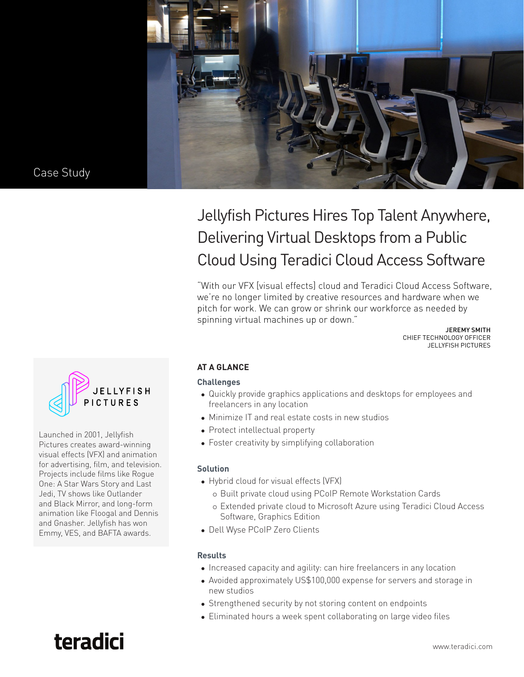

# Jellyfish Pictures Hires Top Talent Anywhere, Delivering Virtual Desktops from a Public Cloud Using Teradici Cloud Access Software

"With our VFX [visual effects] cloud and Teradici Cloud Access Software, we're no longer limited by creative resources and hardware when we pitch for work. We can grow or shrink our workforce as needed by spinning virtual machines up or down."

JEREMY SMITH CHIEF TECHNOLOGY OFFICER JELLYFISH PICTURES



Launched in 2001, Jellyfish Pictures creates award-winning visual effects (VFX) and animation for advertising, film, and television. Projects include films like Rogue One: A Star Wars Story and Last Jedi, TV shows like Outlander and Black Mirror, and long-form animation like Floogal and Dennis and Gnasher. Jellyfish has won Emmy, VES, and BAFTA awards.

# **AT A GLANCE**

#### **Challenges**

- Quickly provide graphics applications and desktops for employees and freelancers in any location
- Minimize IT and real estate costs in new studios
- Protect intellectual property
- Foster creativity by simplifying collaboration

## **Solution**

- Hybrid cloud for visual effects (VFX)
	- { Built private cloud using PCoIP Remote Workstation Cards
	- { Extended private cloud to Microsoft Azure using Teradici Cloud Access Software, Graphics Edition
- Dell Wyse PCoIP Zero Clients

## **Results**

- Increased capacity and agility: can hire freelancers in any location
- Avoided approximately US\$100,000 expense for servers and storage in new studios
- Strengthened security by not storing content on endpoints
- Eliminated hours a week spent collaborating on large video files

# teradici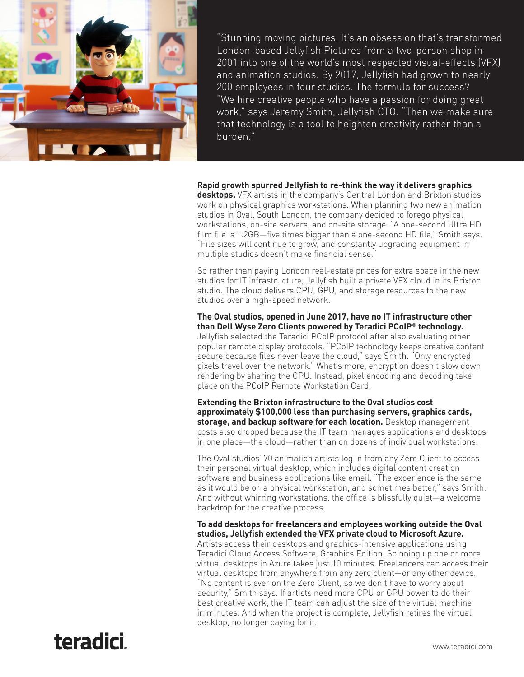

"Stunning moving pictures. It's an obsession that's transformed London-based Jellyfish Pictures from a two-person shop in 2001 into one of the world's most respected visual-effects (VFX) and animation studios. By 2017, Jellyfish had grown to nearly 200 employees in four studios. The formula for success? "We hire creative people who have a passion for doing great work," says Jeremy Smith, Jellyfish CTO. "Then we make sure that technology is a tool to heighten creativity rather than a burden."

#### **Rapid growth spurred Jellyfish to re-think the way it delivers graphics**

**desktops.** VFX artists in the company's Central London and Brixton studios work on physical graphics workstations. When planning two new animation studios in Oval, South London, the company decided to forego physical workstations, on-site servers, and on-site storage. "A one-second Ultra HD film file is 1.2GB—five times bigger than a one-second HD file," Smith says. "File sizes will continue to grow, and constantly upgrading equipment in multiple studios doesn't make financial sense."

So rather than paying London real-estate prices for extra space in the new studios for IT infrastructure, Jellyfish built a private VFX cloud in its Brixton studio. The cloud delivers CPU, GPU, and storage resources to the new studios over a high-speed network.

#### **The Oval studios, opened in June 2017, have no IT infrastructure other than Dell Wyse Zero Clients powered by Teradici PCoIP**® **technology.**

Jellyfish selected the Teradici PCoIP protocol after also evaluating other popular remote display protocols. "PCoIP technology keeps creative content secure because files never leave the cloud," says Smith. "Only encrypted pixels travel over the network." What's more, encryption doesn't slow down rendering by sharing the CPU. Instead, pixel encoding and decoding take place on the PCoIP Remote Workstation Card.

**Extending the Brixton infrastructure to the Oval studios cost approximately \$100,000 less than purchasing servers, graphics cards, storage, and backup software for each location.** Desktop management costs also dropped because the IT team manages applications and desktops in one place—the cloud—rather than on dozens of individual workstations.

The Oval studios' 70 animation artists log in from any Zero Client to access their personal virtual desktop, which includes digital content creation software and business applications like email. "The experience is the same as it would be on a physical workstation, and sometimes better," says Smith. And without whirring workstations, the office is blissfully quiet—a welcome backdrop for the creative process.

#### **To add desktops for freelancers and employees working outside the Oval studios, Jellyfish extended the VFX private cloud to Microsoft Azure.**

Artists access their desktops and graphics-intensive applications using Teradici Cloud Access Software, Graphics Edition. Spinning up one or more virtual desktops in Azure takes just 10 minutes. Freelancers can access their virtual desktops from anywhere from any zero client—or any other device. "No content is ever on the Zero Client, so we don't have to worry about security," Smith says. If artists need more CPU or GPU power to do their best creative work, the IT team can adjust the size of the virtual machine in minutes. And when the project is complete, Jellyfish retires the virtual desktop, no longer paying for it.

teradici.